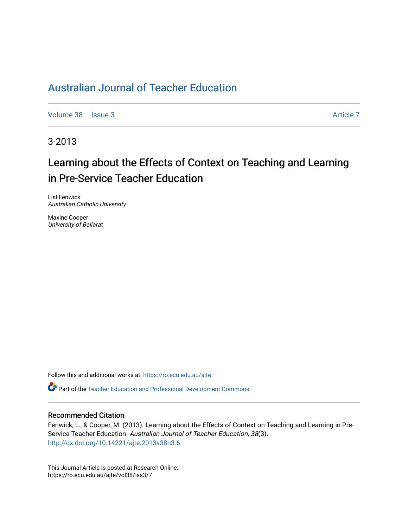## [Australian Journal of Teacher Education](https://ro.ecu.edu.au/ajte)

[Volume 38](https://ro.ecu.edu.au/ajte/vol38) | [Issue 3](https://ro.ecu.edu.au/ajte/vol38/iss3) Article 7

3-2013

# Learning about the Effects of Context on Teaching and Learning in Pre-Service Teacher Education

Lisl Fenwick Australian Catholic University

Maxine Cooper University of Ballarat

Follow this and additional works at: [https://ro.ecu.edu.au/ajte](https://ro.ecu.edu.au/ajte?utm_source=ro.ecu.edu.au%2Fajte%2Fvol38%2Fiss3%2F7&utm_medium=PDF&utm_campaign=PDFCoverPages) 

Part of the [Teacher Education and Professional Development Commons](http://network.bepress.com/hgg/discipline/803?utm_source=ro.ecu.edu.au%2Fajte%2Fvol38%2Fiss3%2F7&utm_medium=PDF&utm_campaign=PDFCoverPages)

#### Recommended Citation

Fenwick, L., & Cooper, M. (2013). Learning about the Effects of Context on Teaching and Learning in Pre-Service Teacher Education. Australian Journal of Teacher Education, 38(3). <http://dx.doi.org/10.14221/ajte.2013v38n3.6>

This Journal Article is posted at Research Online. https://ro.ecu.edu.au/ajte/vol38/iss3/7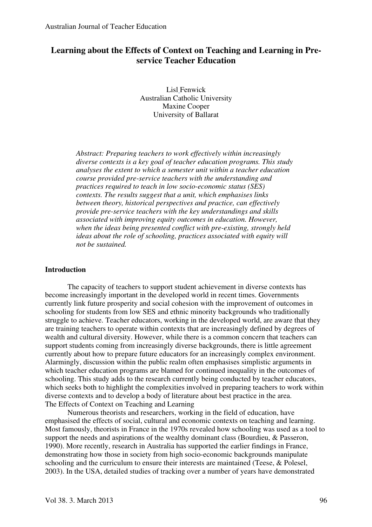## **Learning about the Effects of Context on Teaching and Learning in Preservice Teacher Education**

Lisl Fenwick Australian Catholic University Maxine Cooper University of Ballarat

*Abstract: Preparing teachers to work effectively within increasingly diverse contexts is a key goal of teacher education programs. This study analyses the extent to which a semester unit within a teacher education course provided pre-service teachers with the understanding and practices required to teach in low socio-economic status (SES) contexts. The results suggest that a unit, which emphasises links between theory, historical perspectives and practice, can effectively provide pre-service teachers with the key understandings and skills associated with improving equity outcomes in education. However, when the ideas being presented conflict with pre-existing, strongly held ideas about the role of schooling, practices associated with equity will not be sustained.* 

#### **Introduction**

The capacity of teachers to support student achievement in diverse contexts has become increasingly important in the developed world in recent times. Governments currently link future prosperity and social cohesion with the improvement of outcomes in schooling for students from low SES and ethnic minority backgrounds who traditionally struggle to achieve. Teacher educators, working in the developed world, are aware that they are training teachers to operate within contexts that are increasingly defined by degrees of wealth and cultural diversity. However, while there is a common concern that teachers can support students coming from increasingly diverse backgrounds, there is little agreement currently about how to prepare future educators for an increasingly complex environment. Alarmingly, discussion within the public realm often emphasises simplistic arguments in which teacher education programs are blamed for continued inequality in the outcomes of schooling. This study adds to the research currently being conducted by teacher educators, which seeks both to highlight the complexities involved in preparing teachers to work within diverse contexts and to develop a body of literature about best practice in the area. The Effects of Context on Teaching and Learning

Numerous theorists and researchers, working in the field of education, have emphasised the effects of social, cultural and economic contexts on teaching and learning. Most famously, theorists in France in the 1970s revealed how schooling was used as a tool to support the needs and aspirations of the wealthy dominant class (Bourdieu, & Passeron, 1990). More recently, research in Australia has supported the earlier findings in France, demonstrating how those in society from high socio-economic backgrounds manipulate schooling and the curriculum to ensure their interests are maintained (Teese, & Polesel, 2003). In the USA, detailed studies of tracking over a number of years have demonstrated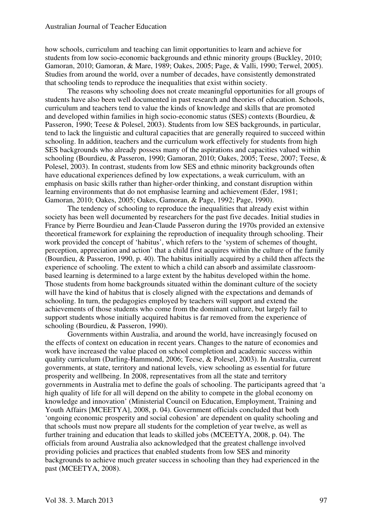how schools, curriculum and teaching can limit opportunities to learn and achieve for students from low socio-economic backgrounds and ethnic minority groups (Buckley, 2010; Gamoran, 2010; Gamoran, & Mare, 1989; Oakes, 2005; Page, & Valli, 1990; Terwel, 2005). Studies from around the world, over a number of decades, have consistently demonstrated that schooling tends to reproduce the inequalities that exist within society.

The reasons why schooling does not create meaningful opportunities for all groups of students have also been well documented in past research and theories of education. Schools, curriculum and teachers tend to value the kinds of knowledge and skills that are promoted and developed within families in high socio-economic status (SES) contexts (Bourdieu, & Passeron, 1990; Teese & Polesel, 2003). Students from low SES backgrounds, in particular, tend to lack the linguistic and cultural capacities that are generally required to succeed within schooling. In addition, teachers and the curriculum work effectively for students from high SES backgrounds who already possess many of the aspirations and capacities valued within schooling (Bourdieu, & Passeron, 1990; Gamoran, 2010; Oakes, 2005; Teese, 2007; Teese, & Polesel, 2003). In contrast, students from low SES and ethnic minority backgrounds often have educational experiences defined by low expectations, a weak curriculum, with an emphasis on basic skills rather than higher-order thinking, and constant disruption within learning environments that do not emphasise learning and achievement (Eder, 1981; Gamoran, 2010; Oakes, 2005; Oakes, Gamoran, & Page, 1992; Page, 1990).

The tendency of schooling to reproduce the inequalities that already exist within society has been well documented by researchers for the past five decades. Initial studies in France by Pierre Bourdieu and Jean-Claude Passeron during the 1970s provided an extensive theoretical framework for explaining the reproduction of inequality through schooling. Their work provided the concept of 'habitus', which refers to the 'system of schemes of thought, perception, appreciation and action' that a child first acquires within the culture of the family (Bourdieu, & Passeron, 1990, p. 40). The habitus initially acquired by a child then affects the experience of schooling. The extent to which a child can absorb and assimilate classroombased learning is determined to a large extent by the habitus developed within the home. Those students from home backgrounds situated within the dominant culture of the society will have the kind of habitus that is closely aligned with the expectations and demands of schooling. In turn, the pedagogies employed by teachers will support and extend the achievements of those students who come from the dominant culture, but largely fail to support students whose initially acquired habitus is far removed from the experience of schooling (Bourdieu, & Passeron, 1990).

Governments within Australia, and around the world, have increasingly focused on the effects of context on education in recent years. Changes to the nature of economies and work have increased the value placed on school completion and academic success within quality curriculum (Darling-Hammond, 2006; Teese, & Polesel, 2003). In Australia, current governments, at state, territory and national levels, view schooling as essential for future prosperity and wellbeing. In 2008, representatives from all the state and territory governments in Australia met to define the goals of schooling. The participants agreed that 'a high quality of life for all will depend on the ability to compete in the global economy on knowledge and innovation' (Ministerial Council on Education, Employment, Training and Youth Affairs [MCEETYA], 2008, p. 04). Government officials concluded that both 'ongoing economic prosperity and social cohesion' are dependent on quality schooling and that schools must now prepare all students for the completion of year twelve, as well as further training and education that leads to skilled jobs (MCEETYA, 2008, p. 04). The officials from around Australia also acknowledged that the greatest challenge involved providing policies and practices that enabled students from low SES and minority backgrounds to achieve much greater success in schooling than they had experienced in the past (MCEETYA, 2008).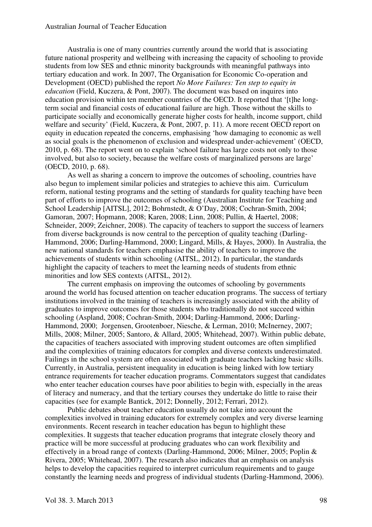#### Australian Journal of Teacher Education

Australia is one of many countries currently around the world that is associating future national prosperity and wellbeing with increasing the capacity of schooling to provide students from low SES and ethnic minority backgrounds with meaningful pathways into tertiary education and work. In 2007, The Organisation for Economic Co-operation and Development (OECD) published the report *No More Failures: Ten step to equity in education* (Field, Kuczera, & Pont, 2007). The document was based on inquires into education provision within ten member countries of the OECD. It reported that '[t]he longterm social and financial costs of educational failure are high. Those without the skills to participate socially and economically generate higher costs for health, income support, child welfare and security' (Field, Kuczera, & Pont, 2007, p. 11). A more recent OECD report on equity in education repeated the concerns, emphasising 'how damaging to economic as well as social goals is the phenomenon of exclusion and widespread under-achievement' (OECD, 2010, p. 68). The report went on to explain 'school failure has large costs not only to those involved, but also to society, because the welfare costs of marginalized persons are large' (OECD, 2010, p. 68).

As well as sharing a concern to improve the outcomes of schooling, countries have also begun to implement similar policies and strategies to achieve this aim. Curriculum reform, national testing programs and the setting of standards for quality teaching have been part of efforts to improve the outcomes of schooling (Australian Institute for Teaching and School Leadership [AITSL], 2012; Bohrnstedt, & O'Day, 2008; Cochran-Smith, 2004; Gamoran, 2007; Hopmann, 2008; Karen, 2008; Linn, 2008; Pullin, & Haertel, 2008; Schneider, 2009; Zeichner, 2008). The capacity of teachers to support the success of learners from diverse backgrounds is now central to the perception of quality teaching (Darling-Hammond, 2006; Darling-Hammond, 2000; Lingard, Mills, & Hayes, 2000). In Australia, the new national standards for teachers emphasise the ability of teachers to improve the achievements of students within schooling (AITSL, 2012). In particular, the standards highlight the capacity of teachers to meet the learning needs of students from ethnic minorities and low SES contexts (AITSL, 2012).

The current emphasis on improving the outcomes of schooling by governments around the world has focused attention on teacher education programs. The success of tertiary institutions involved in the training of teachers is increasingly associated with the ability of graduates to improve outcomes for those students who traditionally do not succeed within schooling (Aspland, 2008; Cochran-Smith, 2004; Darling-Hammond, 2006; Darling-Hammond, 2000; Jorgensen, Grootenboer, Niesche, & Lerman, 2010; McInerney, 2007; Mills, 2008; Milner, 2005; Santoro, & Allard, 2005; Whitehead, 2007). Within public debate, the capacities of teachers associated with improving student outcomes are often simplified and the complexities of training educators for complex and diverse contexts underestimated. Failings in the school system are often associated with graduate teachers lacking basic skills. Currently, in Australia, persistent inequality in education is being linked with low tertiary entrance requirements for teacher education programs. Commentators suggest that candidates who enter teacher education courses have poor abilities to begin with, especially in the areas of literacy and numeracy, and that the tertiary courses they undertake do little to raise their capacities (see for example Bantick, 2012; Donnelly, 2012; Ferrari, 2012).

Public debates about teacher education usually do not take into account the complexities involved in training educators for extremely complex and very diverse learning environments. Recent research in teacher education has begun to highlight these complexities. It suggests that teacher education programs that integrate closely theory and practice will be more successful at producing graduates who can work flexibility and effectively in a broad range of contexts (Darling-Hammond, 2006; Milner, 2005; Poplin & Rivera, 2005; Whitehead, 2007). The research also indicates that an emphasis on analysis helps to develop the capacities required to interpret curriculum requirements and to gauge constantly the learning needs and progress of individual students (Darling-Hammond, 2006).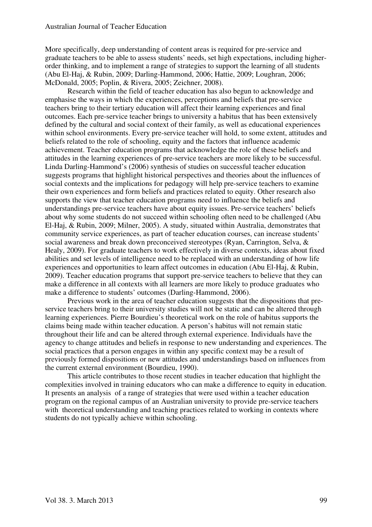More specifically, deep understanding of content areas is required for pre-service and graduate teachers to be able to assess students' needs, set high expectations, including higherorder thinking, and to implement a range of strategies to support the learning of all students (Abu El-Haj, & Rubin, 2009; Darling-Hammond, 2006; Hattie, 2009; Loughran, 2006; McDonald, 2005; Poplin, & Rivera, 2005; Zeichner, 2008).

Research within the field of teacher education has also begun to acknowledge and emphasise the ways in which the experiences, perceptions and beliefs that pre-service teachers bring to their tertiary education will affect their learning experiences and final outcomes. Each pre-service teacher brings to university a habitus that has been extensively defined by the cultural and social context of their family, as well as educational experiences within school environments. Every pre-service teacher will hold, to some extent, attitudes and beliefs related to the role of schooling, equity and the factors that influence academic achievement. Teacher education programs that acknowledge the role of these beliefs and attitudes in the learning experiences of pre-service teachers are more likely to be successful. Linda Darling-Hammond's (2006) synthesis of studies on successful teacher education suggests programs that highlight historical perspectives and theories about the influences of social contexts and the implications for pedagogy will help pre-service teachers to examine their own experiences and form beliefs and practices related to equity. Other research also supports the view that teacher education programs need to influence the beliefs and understandings pre-service teachers have about equity issues. Pre-service teachers' beliefs about why some students do not succeed within schooling often need to be challenged (Abu El-Haj, & Rubin, 2009; Milner, 2005). A study, situated within Australia, demonstrates that community service experiences, as part of teacher education courses, can increase students' social awareness and break down preconceived stereotypes (Ryan, Carrington, Selva, & Healy, 2009). For graduate teachers to work effectively in diverse contexts, ideas about fixed abilities and set levels of intelligence need to be replaced with an understanding of how life experiences and opportunities to learn affect outcomes in education (Abu El-Haj, & Rubin, 2009). Teacher education programs that support pre-service teachers to believe that they can make a difference in all contexts with all learners are more likely to produce graduates who make a difference to students' outcomes (Darling-Hammond, 2006).

Previous work in the area of teacher education suggests that the dispositions that preservice teachers bring to their university studies will not be static and can be altered through learning experiences. Pierre Bourdieu's theoretical work on the role of habitus supports the claims being made within teacher education. A person's habitus will not remain static throughout their life and can be altered through external experience. Individuals have the agency to change attitudes and beliefs in response to new understanding and experiences. The social practices that a person engages in within any specific context may be a result of previously formed dispositions or new attitudes and understandings based on influences from the current external environment (Bourdieu, 1990).

This article contributes to those recent studies in teacher education that highlight the complexities involved in training educators who can make a difference to equity in education. It presents an analysis of a range of strategies that were used within a teacher education program on the regional campus of an Australian university to provide pre-service teachers with theoretical understanding and teaching practices related to working in contexts where students do not typically achieve within schooling.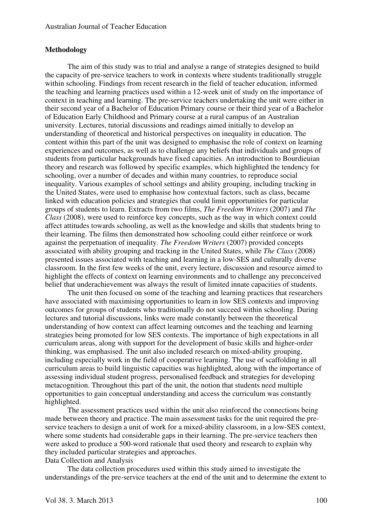#### **Methodology**

The aim of this study was to trial and analyse a range of strategies designed to build the capacity of pre-service teachers to work in contexts where students traditionally struggle within schooling. Findings from recent research in the field of teacher education, informed the teaching and learning practices used within a 12-week unit of study on the importance of context in teaching and learning. The pre-service teachers undertaking the unit were either in their second year of a Bachelor of Education Primary course or their third year of a Bachelor of Education Early Childhood and Primary course at a rural campus of an Australian university. Lectures, tutorial discussions and readings aimed initially to develop an understanding of theoretical and historical perspectives on inequality in education. The content within this part of the unit was designed to emphasise the role of context on learning experiences and outcomes, as well as to challenge any beliefs that individuals and groups of students from particular backgrounds have fixed capacities. An introduction to Bourdieuian theory and research was followed by specific examples, which highlighted the tendency for schooling, over a number of decades and within many countries, to reproduce social inequality. Various examples of school settings and ability grouping, including tracking in the United States, were used to emphasise how contextual factors, such as class, became linked with education policies and strategies that could limit opportunities for particular groups of students to learn. Extracts from two films, *The Freedom Writers* (2007) and *The Class* (2008), were used to reinforce key concepts, such as the way in which context could affect attitudes towards schooling, as well as the knowledge and skills that students bring to their learning. The films then demonstrated how schooling could either reinforce or work against the perpetuation of inequality. *The Freedom Writers* (2007) provided concepts associated with ability grouping and tracking in the United States, while *The Class* (2008) presented issues associated with teaching and learning in a low-SES and culturally diverse classroom. In the first few weeks of the unit, every lecture, discussion and resource aimed to highlight the effects of context on learning environments and to challenge any preconceived belief that underachievement was always the result of limited innate capacities of students.

The unit then focused on some of the teaching and learning practices that researchers have associated with maximising opportunities to learn in low SES contexts and improving outcomes for groups of students who traditionally do not succeed within schooling. During lectures and tutorial discussions, links were made constantly between the theoretical understanding of how context can affect learning outcomes and the teaching and learning strategies being promoted for low SES contexts. The importance of high expectations in all curriculum areas, along with support for the development of basic skills and higher-order thinking, was emphasised. The unit also included research on mixed-ability grouping, including especially work in the field of cooperative learning. The use of scaffolding in all curriculum areas to build linguistic capacities was highlighted, along with the importance of assessing individual student progress, personalised feedback and strategies for developing metacognition. Throughout this part of the unit, the notion that students need multiple opportunities to gain conceptual understanding and access the curriculum was constantly highlighted.

The assessment practices used within the unit also reinforced the connections being made between theory and practice. The main assessment tasks for the unit required the preservice teachers to design a unit of work for a mixed-ability classroom, in a low-SES context, where some students had considerable gaps in their learning. The pre-service teachers then were asked to produce a 500-word rationale that used theory and research to explain why they included particular strategies and approaches.

Data Collection and Analysis

The data collection procedures used within this study aimed to investigate the understandings of the pre-service teachers at the end of the unit and to determine the extent to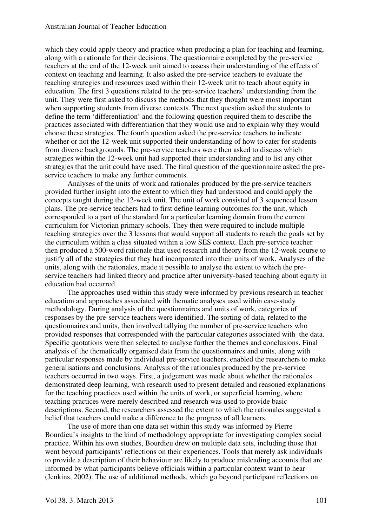which they could apply theory and practice when producing a plan for teaching and learning, along with a rationale for their decisions. The questionnaire completed by the pre-service teachers at the end of the 12-week unit aimed to assess their understanding of the effects of context on teaching and learning. It also asked the pre-service teachers to evaluate the teaching strategies and resources used within their 12-week unit to teach about equity in education. The first 3 questions related to the pre-service teachers' understanding from the unit. They were first asked to discuss the methods that they thought were most important when supporting students from diverse contexts. The next question asked the students to define the term 'differentiation' and the following question required them to describe the practices associated with differentiation that they would use and to explain why they would choose these strategies. The fourth question asked the pre-service teachers to indicate whether or not the 12-week unit supported their understanding of how to cater for students from diverse backgrounds. The pre-service teachers were then asked to discuss which strategies within the 12-week unit had supported their understanding and to list any other strategies that the unit could have used. The final question of the questionnaire asked the preservice teachers to make any further comments.

Analyses of the units of work and rationales produced by the pre-service teachers provided further insight into the extent to which they had understood and could apply the concepts taught during the 12-week unit. The unit of work consisted of 3 sequenced lesson plans. The pre-service teachers had to first define learning outcomes for the unit, which corresponded to a part of the standard for a particular learning domain from the current curriculum for Victorian primary schools. They then were required to include multiple teaching strategies over the 3 lessons that would support all students to reach the goals set by the curriculum within a class situated within a low SES context. Each pre-service teacher then produced a 500-word rationale that used research and theory from the 12-week course to justify all of the strategies that they had incorporated into their units of work. Analyses of the units, along with the rationales, made it possible to analyse the extent to which the preservice teachers had linked theory and practice after university-based teaching about equity in education had occurred.

The approaches used within this study were informed by previous research in teacher education and approaches associated with thematic analyses used within case-study methodology. During analysis of the questionnaires and units of work, categories of responses by the pre-service teachers were identified. The sorting of data, related to the questionnaires and units, then involved tallying the number of pre-service teachers who provided responses that corresponded with the particular categories associated with the data. Specific quotations were then selected to analyse further the themes and conclusions. Final analysis of the thematically organised data from the questionnaires and units, along with particular responses made by individual pre-service teachers, enabled the researchers to make generalisations and conclusions. Analysis of the rationales produced by the pre-service teachers occurred in two ways. First, a judgement was made about whether the rationales demonstrated deep learning, with research used to present detailed and reasoned explanations for the teaching practices used within the units of work, or superficial learning, where teaching practices were merely described and research was used to provide basic descriptions. Second, the researchers assessed the extent to which the rationales suggested a belief that teachers could make a difference to the progress of all learners.

The use of more than one data set within this study was informed by Pierre Bourdieu's insights to the kind of methodology appropriate for investigating complex social practice. Within his own studies, Bourdieu drew on multiple data sets, including those that went beyond participants' reflections on their experiences. Tools that merely ask individuals to provide a description of their behaviour are likely to produce misleading accounts that are informed by what participants believe officials within a particular context want to hear (Jenkins, 2002). The use of additional methods, which go beyond participant reflections on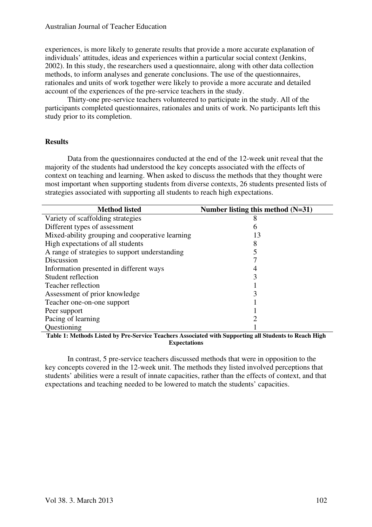experiences, is more likely to generate results that provide a more accurate explanation of individuals' attitudes, ideas and experiences within a particular social context (Jenkins, 2002). In this study, the researchers used a questionnaire, along with other data collection methods, to inform analyses and generate conclusions. The use of the questionnaires, rationales and units of work together were likely to provide a more accurate and detailed account of the experiences of the pre-service teachers in the study.

Thirty-one pre-service teachers volunteered to participate in the study. All of the participants completed questionnaires, rationales and units of work. No participants left this study prior to its completion.

## **Results**

Data from the questionnaires conducted at the end of the 12-week unit reveal that the majority of the students had understood the key concepts associated with the effects of context on teaching and learning. When asked to discuss the methods that they thought were most important when supporting students from diverse contexts, 26 students presented lists of strategies associated with supporting all students to reach high expectations.

| <b>Method listed</b>                            | Number listing this method (N=31) |
|-------------------------------------------------|-----------------------------------|
| Variety of scaffolding strategies               |                                   |
| Different types of assessment                   | n                                 |
| Mixed-ability grouping and cooperative learning | 13                                |
| High expectations of all students               |                                   |
| A range of strategies to support understanding  |                                   |
| Discussion                                      |                                   |
| Information presented in different ways         |                                   |
| Student reflection                              |                                   |
| Teacher reflection                              |                                   |
| Assessment of prior knowledge                   |                                   |
| Teacher one-on-one support                      |                                   |
| Peer support                                    |                                   |
| Pacing of learning                              |                                   |
| Questioning                                     |                                   |

**Table 1: Methods Listed by Pre-Service Teachers Associated with Supporting all Students to Reach High Expectations** 

In contrast, 5 pre-service teachers discussed methods that were in opposition to the key concepts covered in the 12-week unit. The methods they listed involved perceptions that students' abilities were a result of innate capacities, rather than the effects of context, and that expectations and teaching needed to be lowered to match the students' capacities.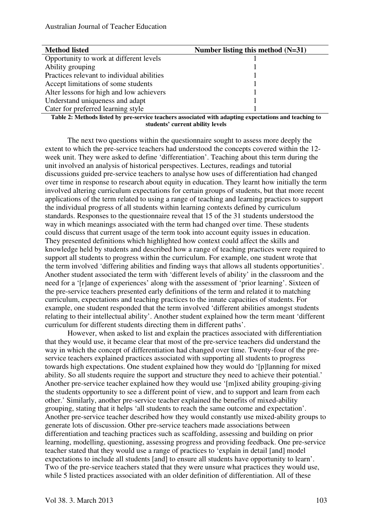| <b>Method listed</b>                       | Number listing this method $(N=31)$ |
|--------------------------------------------|-------------------------------------|
| Opportunity to work at different levels    |                                     |
| Ability grouping                           |                                     |
| Practices relevant to individual abilities |                                     |
| Accept limitations of some students        |                                     |
| Alter lessons for high and low achievers   |                                     |
| Understand uniqueness and adapt            |                                     |
| Cater for preferred learning style         |                                     |

#### **Table 2: Methods listed by pre-service teachers associated with adapting expectations and teaching to students' current ability levels**

The next two questions within the questionnaire sought to assess more deeply the extent to which the pre-service teachers had understood the concepts covered within the 12 week unit. They were asked to define 'differentiation'. Teaching about this term during the unit involved an analysis of historical perspectives. Lectures, readings and tutorial discussions guided pre-service teachers to analyse how uses of differentiation had changed over time in response to research about equity in education. They learnt how initially the term involved altering curriculum expectations for certain groups of students, but that more recent applications of the term related to using a range of teaching and learning practices to support the individual progress of all students within learning contexts defined by curriculum standards. Responses to the questionnaire reveal that 15 of the 31 students understood the way in which meanings associated with the term had changed over time. These students could discuss that current usage of the term took into account equity issues in education. They presented definitions which highlighted how context could affect the skills and knowledge held by students and described how a range of teaching practices were required to support all students to progress within the curriculum. For example, one student wrote that the term involved 'differing abilities and finding ways that allows all students opportunities'. Another student associated the term with 'different levels of ability' in the classroom and the need for a '[r]ange of experiences' along with the assessment of 'prior learning'. Sixteen of the pre-service teachers presented early definitions of the term and related it to matching curriculum, expectations and teaching practices to the innate capacities of students. For example, one student responded that the term involved 'different abilities amongst students relating to their intellectual ability'. Another student explained how the term meant 'different curriculum for different students directing them in different paths'.

However, when asked to list and explain the practices associated with differentiation that they would use, it became clear that most of the pre-service teachers did understand the way in which the concept of differentiation had changed over time. Twenty-four of the preservice teachers explained practices associated with supporting all students to progress towards high expectations. One student explained how they would do '[p]lanning for mixed ability. So all students require the support and structure they need to achieve their potential.' Another pre-service teacher explained how they would use '[m]ixed ability grouping-giving the students opportunity to see a different point of view, and to support and learn from each other.' Similarly, another pre-service teacher explained the benefits of mixed-ability grouping, stating that it helps 'all students to reach the same outcome and expectation'. Another pre-service teacher described how they would constantly use mixed-ability groups to generate lots of discussion. Other pre-service teachers made associations between differentiation and teaching practices such as scaffolding, assessing and building on prior learning, modelling, questioning, assessing progress and providing feedback. One pre-service teacher stated that they would use a range of practices to 'explain in detail [and] model expectations to include all students [and] to ensure all students have opportunity to learn'. Two of the pre-service teachers stated that they were unsure what practices they would use, while 5 listed practices associated with an older definition of differentiation. All of these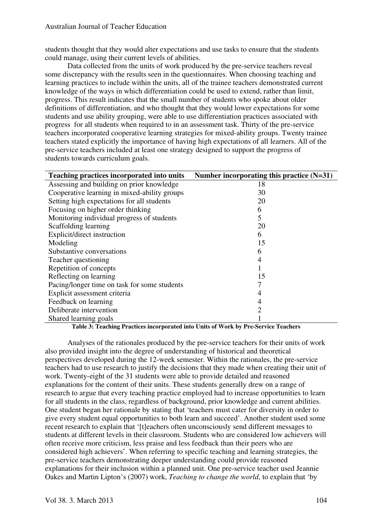students thought that they would alter expectations and use tasks to ensure that the students could manage, using their current levels of abilities.

Data collected from the units of work produced by the pre-service teachers reveal some discrepancy with the results seen in the questionnaires. When choosing teaching and learning practices to include within the units, all of the trainee teachers demonstrated current knowledge of the ways in which differentiation could be used to extend, rather than limit, progress. This result indicates that the small number of students who spoke about older definitions of differentiation, and who thought that they would lower expectations for some students and use ability grouping, were able to use differentiation practices associated with progress for all students when required to in an assessment task. Thirty of the pre-service teachers incorporated cooperative learning strategies for mixed-ability groups. Twenty trainee teachers stated explicitly the importance of having high expectations of all learners. All of the pre-service teachers included at least one strategy designed to support the progress of students towards curriculum goals.

| Teaching practices incorporated into units   | Number incorporating this practice $(N=31)$ |
|----------------------------------------------|---------------------------------------------|
| Assessing and building on prior knowledge    | 18                                          |
| Cooperative learning in mixed-ability groups | 30                                          |
| Setting high expectations for all students   | 20                                          |
| Focusing on higher order thinking            | 6                                           |
| Monitoring individual progress of students   | 5                                           |
| Scaffolding learning                         | 20                                          |
| Explicit/direct instruction                  | 6                                           |
| Modeling                                     | 15                                          |
| Substantive conversations                    | 6                                           |
| Teacher questioning                          | 4                                           |
| Repetition of concepts                       |                                             |
| Reflecting on learning                       | 15                                          |
| Pacing/longer time on task for some students |                                             |
| Explicit assessment criteria                 |                                             |
| Feedback on learning                         | 4                                           |
| Deliberate intervention                      | 2                                           |
| Shared learning goals                        |                                             |

**Table 3: Teaching Practices incorporated into Units of Work by Pre-Service Teachers** 

Analyses of the rationales produced by the pre-service teachers for their units of work also provided insight into the degree of understanding of historical and theoretical perspectives developed during the 12-week semester. Within the rationales, the pre-service teachers had to use research to justify the decisions that they made when creating their unit of work. Twenty-eight of the 31 students were able to provide detailed and reasoned explanations for the content of their units. These students generally drew on a range of research to argue that every teaching practice employed had to increase opportunities to learn for all students in the class, regardless of background, prior knowledge and current abilities. One student began her rationale by stating that 'teachers must cater for diversity in order to give every student equal opportunities to both learn and succeed'. Another student used some recent research to explain that '[t]eachers often unconsciously send different messages to students at different levels in their classroom. Students who are considered low achievers will often receive more criticism, less praise and less feedback than their peers who are considered high achievers'. When referring to specific teaching and learning strategies, the pre-service teachers demonstrating deeper understanding could provide reasoned explanations for their inclusion within a planned unit. One pre-service teacher used Jeannie Oakes and Martin Lipton's (2007) work, *Teaching to change the world*, to explain that 'by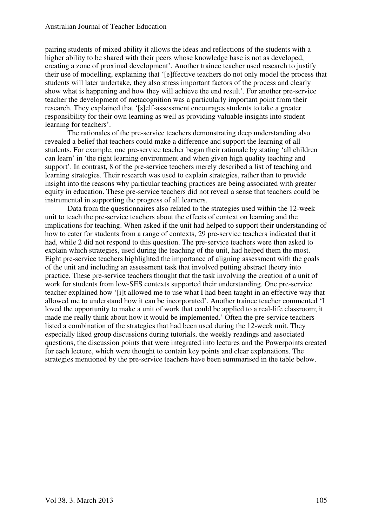pairing students of mixed ability it allows the ideas and reflections of the students with a higher ability to be shared with their peers whose knowledge base is not as developed, creating a zone of proximal development'. Another trainee teacher used research to justify their use of modelling, explaining that '[e]ffective teachers do not only model the process that students will later undertake, they also stress important factors of the process and clearly show what is happening and how they will achieve the end result'. For another pre-service teacher the development of metacognition was a particularly important point from their research. They explained that '[s]elf-assessment encourages students to take a greater responsibility for their own learning as well as providing valuable insights into student learning for teachers'.

The rationales of the pre-service teachers demonstrating deep understanding also revealed a belief that teachers could make a difference and support the learning of all students. For example, one pre-service teacher began their rationale by stating 'all children can learn' in 'the right learning environment and when given high quality teaching and support'. In contrast, 8 of the pre-service teachers merely described a list of teaching and learning strategies. Their research was used to explain strategies, rather than to provide insight into the reasons why particular teaching practices are being associated with greater equity in education. These pre-service teachers did not reveal a sense that teachers could be instrumental in supporting the progress of all learners.

Data from the questionnaires also related to the strategies used within the 12-week unit to teach the pre-service teachers about the effects of context on learning and the implications for teaching. When asked if the unit had helped to support their understanding of how to cater for students from a range of contexts, 29 pre-service teachers indicated that it had, while 2 did not respond to this question. The pre-service teachers were then asked to explain which strategies, used during the teaching of the unit, had helped them the most. Eight pre-service teachers highlighted the importance of aligning assessment with the goals of the unit and including an assessment task that involved putting abstract theory into practice. These pre-service teachers thought that the task involving the creation of a unit of work for students from low-SES contexts supported their understanding. One pre-service teacher explained how '[i]t allowed me to use what I had been taught in an effective way that allowed me to understand how it can be incorporated'. Another trainee teacher commented 'I loved the opportunity to make a unit of work that could be applied to a real-life classroom; it made me really think about how it would be implemented.' Often the pre-service teachers listed a combination of the strategies that had been used during the 12-week unit. They especially liked group discussions during tutorials, the weekly readings and associated questions, the discussion points that were integrated into lectures and the Powerpoints created for each lecture, which were thought to contain key points and clear explanations. The strategies mentioned by the pre-service teachers have been summarised in the table below.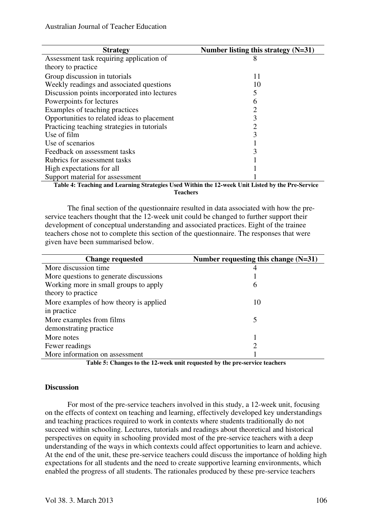| <b>Strategy</b>                                                                                  | Number listing this strategy $(N=31)$ |
|--------------------------------------------------------------------------------------------------|---------------------------------------|
| Assessment task requiring application of                                                         |                                       |
| theory to practice                                                                               |                                       |
| Group discussion in tutorials                                                                    | 11                                    |
| Weekly readings and associated questions                                                         | 10                                    |
| Discussion points incorporated into lectures                                                     |                                       |
| Powerpoints for lectures                                                                         | 6                                     |
| Examples of teaching practices                                                                   |                                       |
| Opportunities to related ideas to placement                                                      |                                       |
| Practicing teaching strategies in tutorials                                                      | 2                                     |
| Use of film                                                                                      | 3                                     |
| Use of scenarios                                                                                 |                                       |
| Feedback on assessment tasks                                                                     |                                       |
| Rubrics for assessment tasks                                                                     |                                       |
| High expectations for all                                                                        |                                       |
| Support material for assessment                                                                  |                                       |
| Toble 4: Teaching and Leopping Chrotogies Head Within the 12 week Unit Listed by the Dre Corrier |                                       |

**Table 4: Teaching and Learning Strategies Used Within the 12-week Unit Listed by the Pre-Service Teachers** 

The final section of the questionnaire resulted in data associated with how the preservice teachers thought that the 12-week unit could be changed to further support their development of conceptual understanding and associated practices. Eight of the trainee teachers chose not to complete this section of the questionnaire. The responses that were given have been summarised below.

| <b>Change requested</b>                | Number requesting this change $(N=31)$ |
|----------------------------------------|----------------------------------------|
| More discussion time                   | 4                                      |
| More questions to generate discussions |                                        |
| Working more in small groups to apply  | 6                                      |
| theory to practice                     |                                        |
| More examples of how theory is applied | 10                                     |
| in practice                            |                                        |
| More examples from films               | 5                                      |
| demonstrating practice                 |                                        |
| More notes                             |                                        |
| Fewer readings                         | $\overline{c}$                         |
| More information on assessment         |                                        |

**Table 5: Changes to the 12-week unit requested by the pre-service teachers** 

#### **Discussion**

For most of the pre-service teachers involved in this study, a 12-week unit, focusing on the effects of context on teaching and learning, effectively developed key understandings and teaching practices required to work in contexts where students traditionally do not succeed within schooling. Lectures, tutorials and readings about theoretical and historical perspectives on equity in schooling provided most of the pre-service teachers with a deep understanding of the ways in which contexts could affect opportunities to learn and achieve. At the end of the unit, these pre-service teachers could discuss the importance of holding high expectations for all students and the need to create supportive learning environments, which enabled the progress of all students. The rationales produced by these pre-service teachers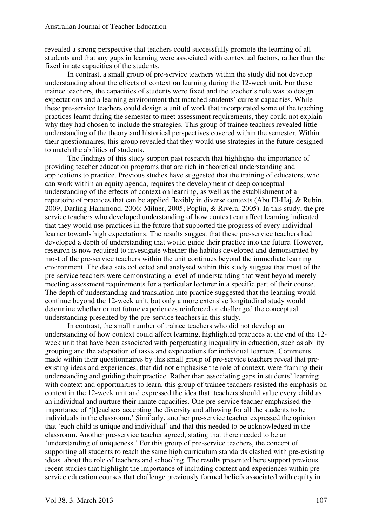revealed a strong perspective that teachers could successfully promote the learning of all students and that any gaps in learning were associated with contextual factors, rather than the fixed innate capacities of the students.

In contrast, a small group of pre-service teachers within the study did not develop understanding about the effects of context on learning during the 12-week unit. For these trainee teachers, the capacities of students were fixed and the teacher's role was to design expectations and a learning environment that matched students' current capacities. While these pre-service teachers could design a unit of work that incorporated some of the teaching practices learnt during the semester to meet assessment requirements, they could not explain why they had chosen to include the strategies. This group of trainee teachers revealed little understanding of the theory and historical perspectives covered within the semester. Within their questionnaires, this group revealed that they would use strategies in the future designed to match the abilities of students.

The findings of this study support past research that highlights the importance of providing teacher education programs that are rich in theoretical understanding and applications to practice. Previous studies have suggested that the training of educators, who can work within an equity agenda, requires the development of deep conceptual understanding of the effects of context on learning, as well as the establishment of a repertoire of practices that can be applied flexibly in diverse contexts (Abu El-Haj, & Rubin, 2009; Darling-Hammond, 2006; Milner, 2005; Poplin, & Rivera, 2005). In this study, the preservice teachers who developed understanding of how context can affect learning indicated that they would use practices in the future that supported the progress of every individual learner towards high expectations. The results suggest that these pre-service teachers had developed a depth of understanding that would guide their practice into the future. However, research is now required to investigate whether the habitus developed and demonstrated by most of the pre-service teachers within the unit continues beyond the immediate learning environment. The data sets collected and analysed within this study suggest that most of the pre-service teachers were demonstrating a level of understanding that went beyond merely meeting assessment requirements for a particular lecturer in a specific part of their course. The depth of understanding and translation into practice suggested that the learning would continue beyond the 12-week unit, but only a more extensive longitudinal study would determine whether or not future experiences reinforced or challenged the conceptual understanding presented by the pre-service teachers in this study.

In contrast, the small number of trainee teachers who did not develop an understanding of how context could affect learning, highlighted practices at the end of the 12 week unit that have been associated with perpetuating inequality in education, such as ability grouping and the adaptation of tasks and expectations for individual learners. Comments made within their questionnaires by this small group of pre-service teachers reveal that preexisting ideas and experiences, that did not emphasise the role of context, were framing their understanding and guiding their practice. Rather than associating gaps in students' learning with context and opportunities to learn, this group of trainee teachers resisted the emphasis on context in the 12-week unit and expressed the idea that teachers should value every child as an individual and nurture their innate capacities. One pre-service teacher emphasised the importance of '[t]eachers accepting the diversity and allowing for all the students to be individuals in the classroom.' Similarly, another pre-service teacher expressed the opinion that 'each child is unique and individual' and that this needed to be acknowledged in the classroom. Another pre-service teacher agreed, stating that there needed to be an 'understanding of uniqueness.' For this group of pre-service teachers, the concept of supporting all students to reach the same high curriculum standards clashed with pre-existing ideas about the role of teachers and schooling. The results presented here support previous recent studies that highlight the importance of including content and experiences within preservice education courses that challenge previously formed beliefs associated with equity in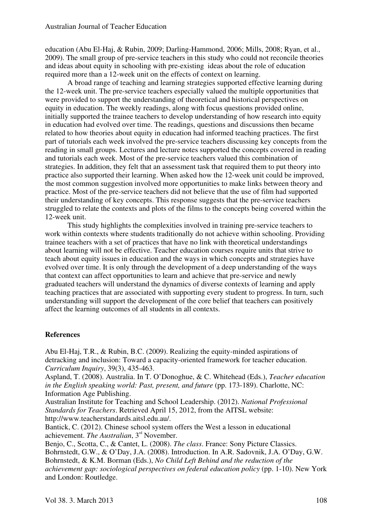education (Abu El-Haj, & Rubin, 2009; Darling-Hammond, 2006; Mills, 2008; Ryan, et al., 2009). The small group of pre-service teachers in this study who could not reconcile theories and ideas about equity in schooling with pre-existing ideas about the role of education required more than a 12-week unit on the effects of context on learning.

A broad range of teaching and learning strategies supported effective learning during the 12-week unit. The pre-service teachers especially valued the multiple opportunities that were provided to support the understanding of theoretical and historical perspectives on equity in education. The weekly readings, along with focus questions provided online, initially supported the trainee teachers to develop understanding of how research into equity in education had evolved over time. The readings, questions and discussions then became related to how theories about equity in education had informed teaching practices. The first part of tutorials each week involved the pre-service teachers discussing key concepts from the reading in small groups. Lectures and lecture notes supported the concepts covered in reading and tutorials each week. Most of the pre-service teachers valued this combination of strategies. In addition, they felt that an assessment task that required them to put theory into practice also supported their learning. When asked how the 12-week unit could be improved, the most common suggestion involved more opportunities to make links between theory and practice. Most of the pre-service teachers did not believe that the use of film had supported their understanding of key concepts. This response suggests that the pre-service teachers struggled to relate the contexts and plots of the films to the concepts being covered within the 12-week unit.

This study highlights the complexities involved in training pre-service teachers to work within contexts where students traditionally do not achieve within schooling. Providing trainee teachers with a set of practices that have no link with theoretical understandings about learning will not be effective. Teacher education courses require units that strive to teach about equity issues in education and the ways in which concepts and strategies have evolved over time. It is only through the development of a deep understanding of the ways that context can affect opportunities to learn and achieve that pre-service and newly graduated teachers will understand the dynamics of diverse contexts of learning and apply teaching practices that are associated with supporting every student to progress. In turn, such understanding will support the development of the core belief that teachers can positively affect the learning outcomes of all students in all contexts.

## **References**

Abu El-Haj, T.R., & Rubin, B.C. (2009). Realizing the equity-minded aspirations of detracking and inclusion: Toward a capacity-oriented framework for teacher education. *Curriculum Inquiry*, 39(3), 435-463.

Aspland, T. (2008). Australia. In T. O'Donoghue, & C. Whitehead (Eds.), *Teacher education in the English speaking world: Past, present, and future* (pp. 173-189). Charlotte, NC: Information Age Publishing.

Australian Institute for Teaching and School Leadership. (2012). *National Professional Standards for Teachers*. Retrieved April 15, 2012, from the AITSL website: http://www.teacherstandards.aitsl.edu.au/.

Bantick, C. (2012). Chinese school system offers the West a lesson in educational achievement. *The Australian*, 3rd November.

Benjo, C., Scotta, C., & Cantet, L. (2008). *The class*. France: Sony Picture Classics. Bohrnstedt, G.W., & O'Day, J.A. (2008). Introduction. In A.R. Sadovnik, J.A. O'Day, G.W. Bohrnstedt, & K.M. Borman (Eds.), *No Child Left Behind and the reduction of the achievement gap: sociological perspectives on federal education policy* (pp. 1-10). New York and London: Routledge.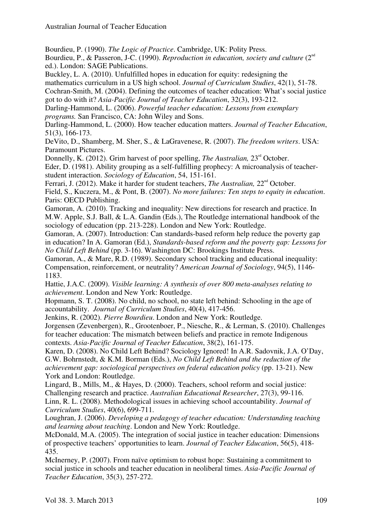Bourdieu, P. (1990). *The Logic of Practice*. Cambridge, UK: Polity Press.

Bourdieu, P., & Passeron, J-C. (1990). *Reproduction in education, society and culture* (2<sup>nd</sup> ed.). London: SAGE Publications.

Buckley, L. A. (2010). Unfulfilled hopes in education for equity: redesigning the

mathematics curriculum in a US high school. *Journal of Curriculum Studies*, 42(1), 51-78.

Cochran-Smith, M. (2004). Defining the outcomes of teacher education: What's social justice got to do with it? *Asia-Pacific Journal of Teacher Education*, 32(3), 193-212.

Darling-Hammond, L. (2006). *Powerful teacher education: Lessons from exemplary programs.* San Francisco, CA: John Wiley and Sons.

Darling-Hammond, L. (2000). How teacher education matters. *Journal of Teacher Education*, 51(3), 166-173.

DeVito, D., Shamberg, M. Sher, S., & LaGravenese, R. (2007). *The freedom writers*. USA: Paramount Pictures.

Donnelly, K. (2012). Grim harvest of poor spelling, *The Australian*, 23<sup>rd</sup> October. Eder, D. (1981). Ability grouping as a self-fulfilling prophecy: A microanalysis of teacherstudent interaction. *Sociology of Education*, 54, 151-161.

Ferrari, J. (2012). Make it harder for student teachers, *The Australian*, 22<sup>nd</sup> October.

Field, S., Kuczera, M., & Pont, B. (2007). *No more failures: Ten steps to equity in education*. Paris: OECD Publishing.

Gamoran, A. (2010). Tracking and inequality: New directions for research and practice. In M.W. Apple, S.J. Ball, & L.A. Gandin (Eds.), The Routledge international handbook of the sociology of education (pp. 213-228). London and New York: Routledge.

Gamoran, A. (2007). Introduction: Can standards-based reform help reduce the poverty gap in education? In A. Gamoran (Ed.), *Standards-based reform and the poverty gap: Lessons for No Child Left Behind* (pp. 3-16). Washington DC: Brookings Institute Press.

Gamoran, A., & Mare, R.D. (1989). Secondary school tracking and educational inequality: Compensation, reinforcement, or neutrality? *American Journal of Sociology*, 94(5), 1146- 1183.

Hattie, J.A.C. (2009). *Visible learning: A synthesis of over 800 meta-analyses relating to achievement*. London and New York: Routledge.

Hopmann, S. T. (2008). No child, no school, no state left behind: Schooling in the age of accountability. *Journal of Curriculum Studies*, 40(4), 417-456.

Jenkins, R. (2002). *Pierre Bourdieu*. London and New York: Routledge.

Jorgensen (Zevenbergen), R., Grootenboer, P., Niesche, R., & Lerman, S. (2010). Challenges for teacher education: The mismatch between beliefs and practice in remote Indigenous contexts. *Asia-Pacific Journal of Teacher Education*, 38(2), 161-175.

Karen, D. (2008). No Child Left Behind? Sociology Ignored! In A.R. Sadovnik, J.A. O'Day, G.W. Bohrnstedt, & K.M. Borman (Eds.), *No Child Left Behind and the reduction of the achievement gap: sociological perspectives on federal education policy* (pp. 13-21). New York and London: Routledge.

Lingard, B., Mills, M., & Hayes, D. (2000). Teachers, school reform and social justice: Challenging research and practice. *Australian Educational Researcher*, 27(3), 99-116. Linn, R. L. (2008). Methodological issues in achieving school accountability. *Journal of Curriculum Studies*, 40(6), 699-711.

Loughran, J. (2006). *Developing a pedagogy of teacher education: Understanding teaching and learning about teaching*. London and New York: Routledge.

McDonald, M.A. (2005). The integration of social justice in teacher education: Dimensions of prospective teachers' opportunities to learn. *Journal of Teacher Education*, 56(5), 418- 435.

McInerney, P. (2007). From naïve optimism to robust hope: Sustaining a commitment to social justice in schools and teacher education in neoliberal times. *Asia-Pacific Journal of Teacher Education*, 35(3), 257-272.